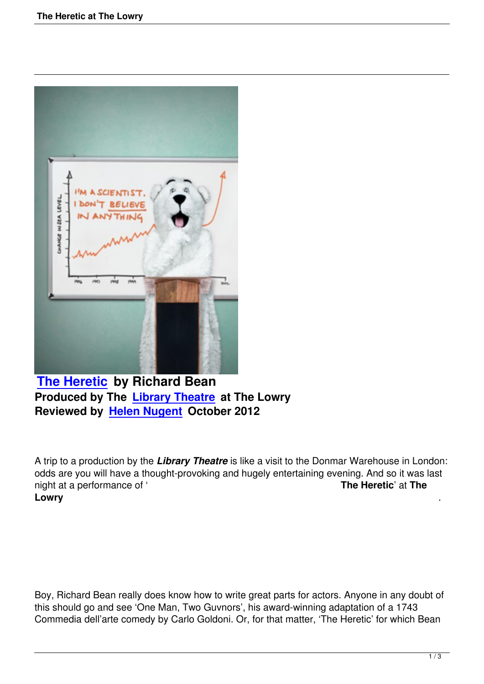

## **The Heretic by Richard Bean Produced by The Library Theatre at The Lowry [Reviewed by](the-heretic-at-the-lowry.html) Helen Nugent October 2012**

A trip to a produc[tion by the](speakers.html#helen-nugent) *Library Theatre* is like a visit to the Donmar Warehouse in London: odds are you will have a thought-provoking and hugely entertaining evening. And so it was last night at a performance of ' **The Heretic**' at **The Lowry Lowry** .

Boy, Richard Bean really does know how to write great parts for actors. Anyone in any doubt of this should go and see 'One Man, Two Guvnors', his award-winning adaptation of a 1743 Commedia dell'arte comedy by Carlo Goldoni. Or, for that matter, 'The Heretic' for which Bean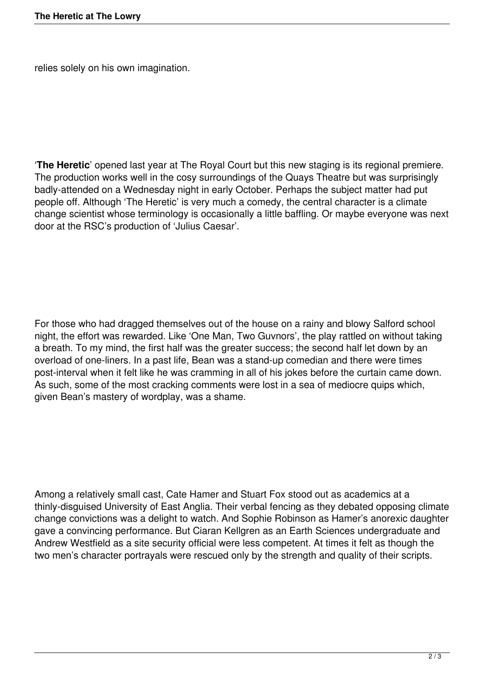relies solely on his own imagination.

'**The Heretic**' opened last year at The Royal Court but this new staging is its regional premiere. The production works well in the cosy surroundings of the Quays Theatre but was surprisingly badly-attended on a Wednesday night in early October. Perhaps the subject matter had put people off. Although 'The Heretic' is very much a comedy, the central character is a climate change scientist whose terminology is occasionally a little baffling. Or maybe everyone was next door at the RSC's production of 'Julius Caesar'.

For those who had dragged themselves out of the house on a rainy and blowy Salford school night, the effort was rewarded. Like 'One Man, Two Guvnors', the play rattled on without taking a breath. To my mind, the first half was the greater success; the second half let down by an overload of one-liners. In a past life, Bean was a stand-up comedian and there were times post-interval when it felt like he was cramming in all of his jokes before the curtain came down. As such, some of the most cracking comments were lost in a sea of mediocre quips which, given Bean's mastery of wordplay, was a shame.

Among a relatively small cast, Cate Hamer and Stuart Fox stood out as academics at a thinly-disguised University of East Anglia. Their verbal fencing as they debated opposing climate change convictions was a delight to watch. And Sophie Robinson as Hamer's anorexic daughter gave a convincing performance. But Ciaran Kellgren as an Earth Sciences undergraduate and Andrew Westfield as a site security official were less competent. At times it felt as though the two men's character portrayals were rescued only by the strength and quality of their scripts.